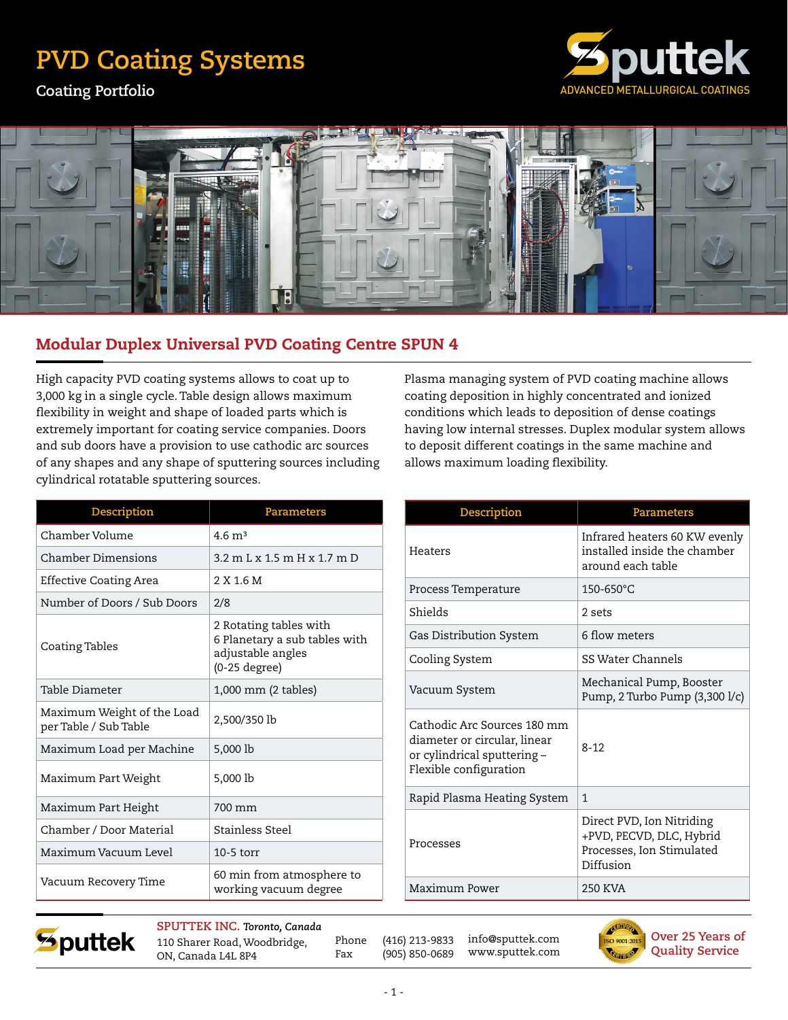## **PVD Coating Systems**

**Coating Portfolio**





## Modular Duplex Universal PVD Coating Centre SPUN 4

High capacity PVD coating systems allows to coat up to 3,000 kg in a single cycle. Table design allows maximum flexibility in weight and shape of loaded parts which is extremely important for coating service companies. Doors and sub doors have a provision to use cathodic arc sources of any shapes and any shape of sputtering sources including cylindrical rotatable sputtering sources.

| Description                                         | <b>Parameters</b>                                                                             |
|-----------------------------------------------------|-----------------------------------------------------------------------------------------------|
| Chamber Volume                                      | $4.6 \text{ m}^3$                                                                             |
| Chamber Dimensions                                  | $3.2$ m I, x 1.5 m H x 1.7 m D                                                                |
| Effective Coating Area                              | 2 X 1.6 M                                                                                     |
| Number of Doors / Sub Doors                         | 2/8                                                                                           |
| Coating Tables                                      | 2 Rotating tables with<br>6 Planetary a sub tables with<br>adjustable angles<br>(0-25 degree) |
| Table Diameter                                      | 1,000 mm (2 tables)                                                                           |
| Maximum Weight of the Load<br>per Table / Sub Table | 2,500/350 lb                                                                                  |
| Maximum Load per Machine                            | 5,000 lb                                                                                      |
| Maximum Part Weight                                 | 5,000 lb                                                                                      |
| Maximum Part Height                                 | 700 mm                                                                                        |
| Chamber / Door Material                             | Stainless Steel                                                                               |
| Maximum Vacuum Level                                | $10-5$ torr                                                                                   |
| Vacuum Recovery Time                                | 60 min from atmosphere to<br>working vacuum degree                                            |

Plasma managing system of PVD coating machine allows coating deposition in highly concentrated and ionized conditions which leads to deposition of dense coatings having low internal stresses. Duplex modular system allows to deposit different coatings in the same machine and allows maximum loading flexibility.

| Description                                                                                                          | <b>Parameters</b>                                                                               |
|----------------------------------------------------------------------------------------------------------------------|-------------------------------------------------------------------------------------------------|
| Heaters                                                                                                              | Infrared heaters 60 KW evenly<br>installed inside the chamber<br>around each table              |
| Process Temperature                                                                                                  | 150-650°C                                                                                       |
| Shields                                                                                                              | 2 sets                                                                                          |
| Gas Distribution System                                                                                              | 6 flow meters                                                                                   |
| Cooling System                                                                                                       | SS Water Channels                                                                               |
| Vacuum System                                                                                                        | Mechanical Pump, Booster<br>Pump, 2 Turbo Pump (3,300 l/c)                                      |
| Cathodic Arc Sources 180 mm<br>diameter or circular, linear<br>or cylindrical sputtering -<br>Flexible configuration | $8 - 12$                                                                                        |
| Rapid Plasma Heating System                                                                                          | 1                                                                                               |
| Processes                                                                                                            | Direct PVD, Ion Nitriding<br>+PVD, PECVD, DLC, Hybrid<br>Processes, Ion Stimulated<br>Diffusion |
| Maximum Power                                                                                                        | 250 KVA                                                                                         |



**SPUTTEK INC.** *Toronto, Canada* 110 Sharer Road, Woodbridge, ON, Canada L4L 8P4

Phone (416) 213-9833 Fax (905) 850-0689 info@sputtek.com www.sputtek.com